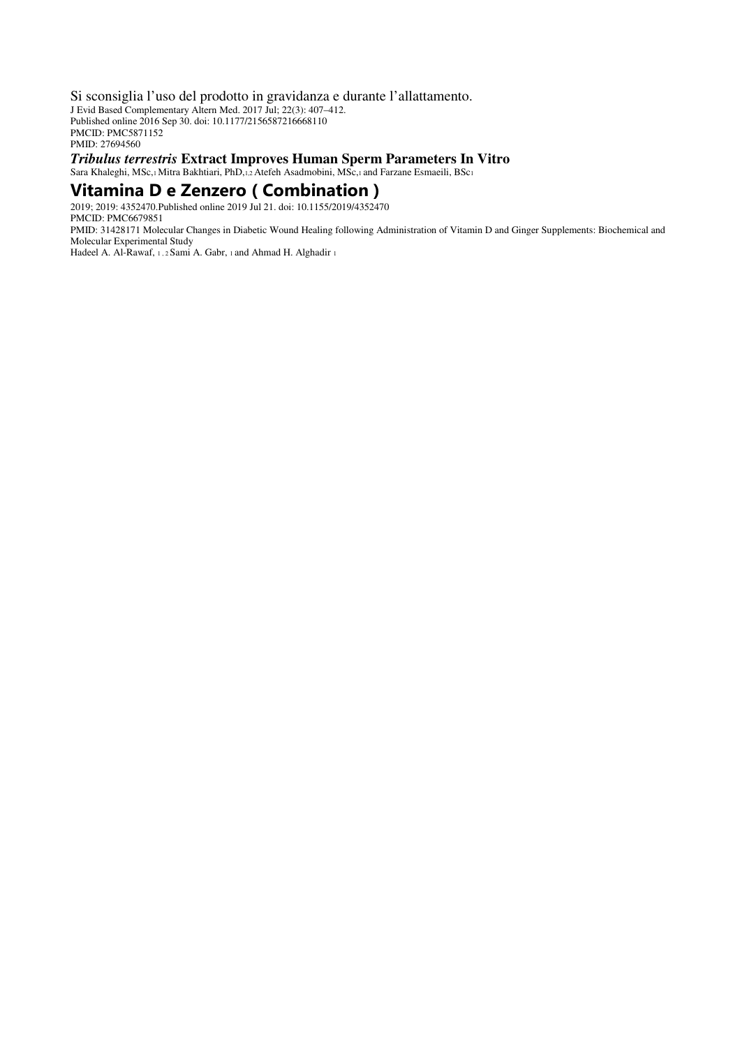Si sconsiglia l'uso del prodotto in gravidanza e durante l'allattamento. J Evid Based Complementary Altern Med. 2017 Jul; 22(3): 407–412. Published online 2016 Sep 30. doi: 10.1177/2156587216668110 PMCID: PMC5871152 PMID: 27694560 *Tribulus terrestris* **Extract Improves Human Sperm Parameters In Vitro** 

Sara Khaleghi, MSc,1 Mitra Bakhtiari, PhD,1,2 Atefeh Asadmobini, MSc,1 and Farzane Esmaeili, BSc1

## **Vitamina D e Zenzero ( Combination )**

2019; 2019: 4352470.Published online 2019 Jul 21. doi: 10.1155/2019/4352470 PMCID: PMC6679851

PMID: 31428171 Molecular Changes in Diabetic Wound Healing following Administration of Vitamin D and Ginger Supplements: Biochemical and Molecular Experimental Study

Hadeel A. Al-Rawaf, 1, 2 Sami A. Gabr, 1 and Ahmad H. Alghadir 1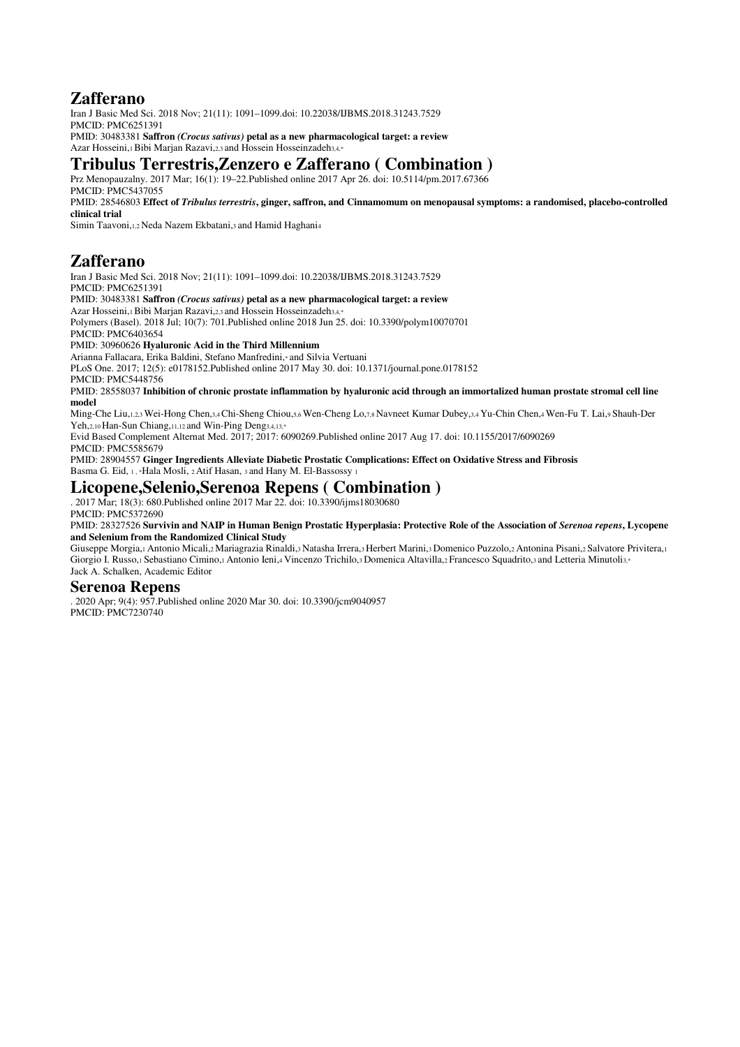# **Zafferano**

Iran J Basic Med Sci. 2018 Nov; 21(11): 1091–1099.doi: 10.22038/IJBMS.2018.31243.7529 PMCID: PMC6251391 PMID: 30483381 **Saffron** *(Crocus sativus)* **petal as a new pharmacological target: a review** 

Azar Hosseini,1 Bibi Marian Razavi,2,3 and Hossein Hosseinzadeh3,4,\*

### **Tribulus Terrestris,Zenzero e Zafferano ( Combination )**

Prz Menopauzalny. 2017 Mar; 16(1): 19–22.Published online 2017 Apr 26. doi: 10.5114/pm.2017.67366 PMCID: PMC5437055

PMID: 28546803 **Effect of** *Tribulus terrestris***, ginger, saffron, and Cinnamomum on menopausal symptoms: a randomised, placebo-controlled clinical trial** 

Simin Taavoni,1,2 Neda Nazem Ekbatani,3 and Hamid Haghani<sup>4</sup>

# **Zafferano**

Iran J Basic Med Sci. 2018 Nov; 21(11): 1091–1099.doi: 10.22038/IJBMS.2018.31243.7529 PMCID: PMC6251391

#### PMID: 30483381 **Saffron** *(Crocus sativus)* **petal as a new pharmacological target: a review**

Azar Hosseini,1 Bibi Marjan Razavi,2,3 and Hossein Hosseinzadeh3,4,\*

Polymers (Basel). 2018 Jul; 10(7): 701.Published online 2018 Jun 25. doi: 10.3390/polym10070701

PMCID: PMC6403654

PMID: 30960626 **Hyaluronic Acid in the Third Millennium** 

Arianna Fallacara, Erika Baldini, Stefano Manfredini,\* and Silvia Vertuani

PLoS One. 2017; 12(5): e0178152.Published online 2017 May 30. doi: 10.1371/journal.pone.0178152

PMCID: PMC5448756

PMID: 28558037 **Inhibition of chronic prostate inflammation by hyaluronic acid through an immortalized human prostate stromal cell line model** 

Ming-Che Liu,1,2,3 Wei-Hong Chen,3,4 Chi-Sheng Chiou,5,6 Wen-Cheng Lo,7,8 Navneet Kumar Dubey,3,4 Yu-Chin Chen,4 Wen-Fu T. Lai,9 Shauh-Der Yeh, 2,10 Han-Sun Chiang, 11, 12 and Win-Ping Deng3, 4, 13,\*

Evid Based Complement Alternat Med. 2017; 2017: 6090269.Published online 2017 Aug 17. doi: 10.1155/2017/6090269 PMCID: PMC5585679

PMID: 28904557 **Ginger Ingredients Alleviate Diabetic Prostatic Complications: Effect on Oxidative Stress and Fibrosis** Basma G. Eid, 1, \*Hala Mosli, 2 Atif Hasan, 3 and Hany M. El-Bassossy 1

## **Licopene,Selenio,Serenoa Repens ( Combination )**

. 2017 Mar; 18(3): 680.Published online 2017 Mar 22. doi: 10.3390/ijms18030680 PMCID: PMC5372690

#### PMID: 28327526 **Survivin and NAIP in Human Benign Prostatic Hyperplasia: Protective Role of the Association of** *Serenoa repens***, Lycopene and Selenium from the Randomized Clinical Study**

Giuseppe Morgia,1 Antonio Micali,2 Mariagrazia Rinaldi,3 Natasha Irrera,3 Herbert Marini,3 Domenico Puzzolo,2 Antonina Pisani,2 Salvatore Privitera,<sup>1</sup> Giorgio I. Russo,1 Sebastiano Cimino,1 Antonio Ieni,4 Vincenzo Trichilo,3 Domenica Altavilla,2 Francesco Squadrito,3 and Letteria Minutoli3,\* Jack A. Schalken, Academic Editor

#### **Serenoa Repens**

. 2020 Apr; 9(4): 957.Published online 2020 Mar 30. doi: 10.3390/jcm9040957 PMCID: PMC7230740